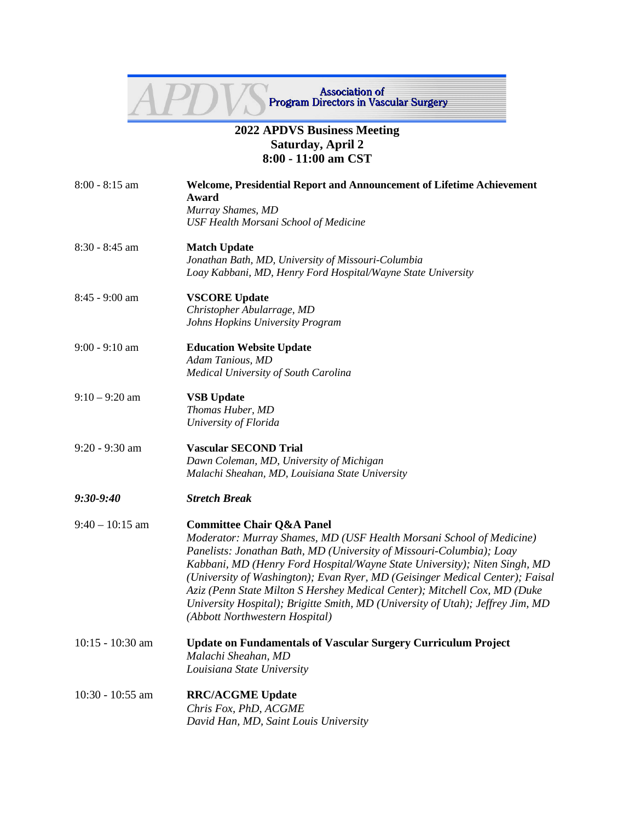## Association of<br>Program Directors in Vascular Surgery

## **2022 APDVS Business Meeting Saturday, April 2 8:00 - 11:00 am CST**

| $8:00 - 8:15$ am   | <b>Welcome, Presidential Report and Announcement of Lifetime Achievement</b><br>Award<br>Murray Shames, MD<br><b>USF Health Morsani School of Medicine</b>                                                                                                                                                                                                                                                                                                                                                                                         |
|--------------------|----------------------------------------------------------------------------------------------------------------------------------------------------------------------------------------------------------------------------------------------------------------------------------------------------------------------------------------------------------------------------------------------------------------------------------------------------------------------------------------------------------------------------------------------------|
| 8:30 - 8:45 am     | <b>Match Update</b><br>Jonathan Bath, MD, University of Missouri-Columbia<br>Loay Kabbani, MD, Henry Ford Hospital/Wayne State University                                                                                                                                                                                                                                                                                                                                                                                                          |
| 8:45 - 9:00 am     | <b>VSCORE Update</b><br>Christopher Abularrage, MD<br>Johns Hopkins University Program                                                                                                                                                                                                                                                                                                                                                                                                                                                             |
| $9:00 - 9:10$ am   | <b>Education Website Update</b><br>Adam Tanious, MD<br>Medical University of South Carolina                                                                                                                                                                                                                                                                                                                                                                                                                                                        |
| $9:10 - 9:20$ am   | <b>VSB</b> Update<br>Thomas Huber, MD<br>University of Florida                                                                                                                                                                                                                                                                                                                                                                                                                                                                                     |
| $9:20 - 9:30$ am   | <b>Vascular SECOND Trial</b><br>Dawn Coleman, MD, University of Michigan<br>Malachi Sheahan, MD, Louisiana State University                                                                                                                                                                                                                                                                                                                                                                                                                        |
| $9:30 - 9:40$      | <b>Stretch Break</b>                                                                                                                                                                                                                                                                                                                                                                                                                                                                                                                               |
| $9:40 - 10:15$ am  | <b>Committee Chair Q&amp;A Panel</b><br>Moderator: Murray Shames, MD (USF Health Morsani School of Medicine)<br>Panelists: Jonathan Bath, MD (University of Missouri-Columbia); Loay<br>Kabbani, MD (Henry Ford Hospital/Wayne State University); Niten Singh, MD<br>(University of Washington); Evan Ryer, MD (Geisinger Medical Center); Faisal<br>Aziz (Penn State Milton S Hershey Medical Center); Mitchell Cox, MD (Duke<br>University Hospital); Brigitte Smith, MD (University of Utah); Jeffrey Jim, MD<br>(Abbott Northwestern Hospital) |
| $10:15 - 10:30$ am | <b>Update on Fundamentals of Vascular Surgery Curriculum Project</b><br>Malachi Sheahan, MD<br>Louisiana State University                                                                                                                                                                                                                                                                                                                                                                                                                          |
| $10:30 - 10:55$ am | <b>RRC/ACGME Update</b><br>Chris Fox, PhD, ACGME<br>David Han, MD, Saint Louis University                                                                                                                                                                                                                                                                                                                                                                                                                                                          |